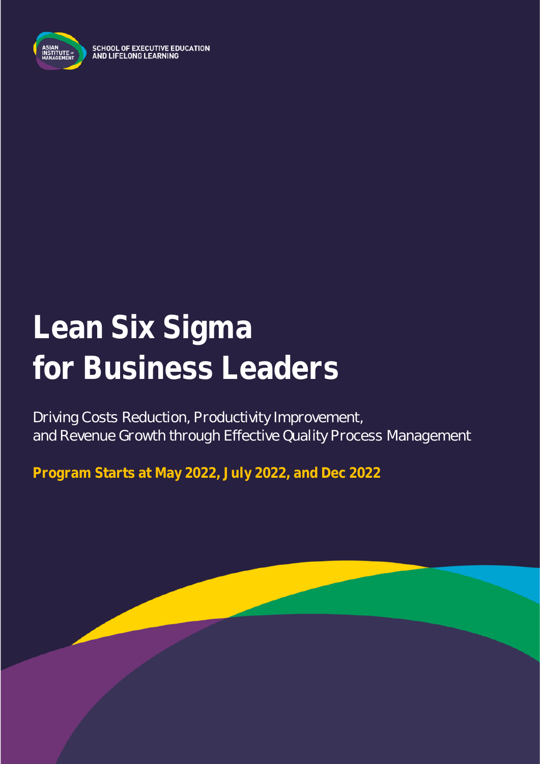

**SCHOOL OF EXECUTIVE EDUCATION** AND LIFELONG LEARNING

# **Lean Six Sigma for Business Leaders**

Driving Costs Reduction, Productivity Improvement, and Revenue Growth through Effective Quality Process Management

**Program Starts at May 2022, July 2022, and Dec 2022**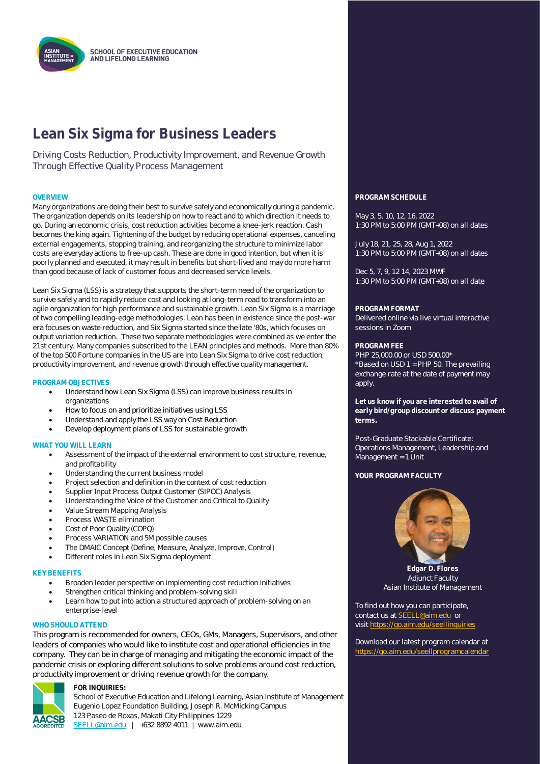

### **Lean Six Sigma for Business Leaders**

Driving Costs Reduction, Productivity Improvement, and Revenue Growth Through Effective Quality Process Management

Many organizations are doing their best to survive safely and economically during a pandemic. The organization depends on its leadership on how to react and to which direction it needs to go. During an economic crisis, cost reduction activities become a knee-jerk reaction. Cash becomes the king again. Tightening of the budget by reducing operational expenses, canceling external engagements, stopping training, and reorganizing the structure to minimize labor costs are everyday actions to free-up cash. These are done in good intention, but when it is poorly planned and executed, it may result in benefits but short-lived and may do more harm than good because of lack of customer focus and decreased service levels.

Lean Six Sigma (LSS) is a strategy that supports the short-term need of the organization to survive safely and to rapidly reduce cost and looking at long-term road to transform into an agile organization for high performance and sustainable growth. Lean Six Sigma is a marriage of two compelling leading-edge methodologies. Lean has been in existence since the post-war era focuses on waste reduction, and Six Sigma started since the late '80s, which focuses on output variation reduction. These two separate methodologies were combined as we enter the 21st century. Many companies subscribed to the LEAN principles and methods. More than 80% of the top 500 Fortune companies in the US are into Lean Six Sigma to drive cost reduction, productivity improvement, and revenue growth through effective quality management.

#### **PROGRAM OBJECTIVES**

- Understand how Lean Six Sigma (LSS) can improve business results in organizations
- How to focus on and prioritize initiatives using LSS
- Understand and apply the LSS way on Cost Reduction
- Develop deployment plans of LSS for sustainable growth

#### **WHAT YOU WILL LEARN**

- Assessment of the impact of the external environment to cost structure, revenue, and profitability
- Understanding the current business model
- Project selection and definition in the context of cost reduction
- Supplier Input Process Output Customer (SIPOC) Analysis
- Understanding the Voice of the Customer and Critical to Quality
- Value Stream Mapping Analysis
- Process WASTE elimination
- Cost of Poor Quality (COPQ)
- Process VARIATION and 5M possible causes
- The DMAIC Concept (Define, Measure, Analyze, Improve, Control)
- Different roles in Lean Six Sigma deployment

#### **KEY BENEFITS**

- Broaden leader perspective on implementing cost reduction initiatives
- Strengthen critical thinking and problem-solving skill
- Learn how to put into action a structured approach of problem-solving on an enterprise-level

#### WHO SHOULD ATTEND

This program is recommended for owners, CEOs, GMs, Managers, Supervisors, and other leaders of companies who would like to institute cost and operational efficiencies in the company. They can be in charge of managing and mitigating the economic impact of the pandemic crisis or exploring different solutions to solve problems around cost reduction, productivity improvement or driving revenue growth for the company.



#### **FOR INQUIRIES:**

School of Executive Education and Lifelong Learning, Asian Institute of Management Eugenio Lopez Foundation Building, Joseph R. McMicking Campus 123 Paseo de Roxas, Makati City Philippines 1229 [SEELL@aim.edu](mailto:SEELL@aim.edu) | +632 8892 4011 | www.aim.edu

#### **OVERVIEW PROGRAM SCHEDULE**

May 3, 5, 10, 12, 16, 2022 1:30 PM to 5:00 PM (GMT+08) on all dates

July 18, 21, 25, 28, Aug 1, 2022 1:30 PM to 5:00 PM (GMT+08) on all dates

Dec 5, 7, 9, 12 14, 2023 MWF 1:30 PM to 5:00 PM (GMT+08) on all date

#### **PROGRAM FORMAT**

Delivered online via live virtual interactive sessions in Zoom

#### **PROGRAM FEE**

PHP 25,000.00 or USD 500.00\* \*Based on USD 1 = PHP 50. The prevailing exchange rate at the date of payment may apply.

**Let us know if you are interested to avail of early bird/group discount or discuss payment terms.**

Post-Graduate Stackable Certificate: Operations Management, Leadership and Management = 1 Unit

#### **YOUR PROGRAM FACULTY**



**Edgar D. Flores** Adjunct Faculty Asian Institute of Management

To find out how you can participate, contact us at **SEELL@aim.edu** or visit<https://go.aim.edu/seellinquiries>

Download our latest program calendar at https://go.aim.edu/seellprogramcalend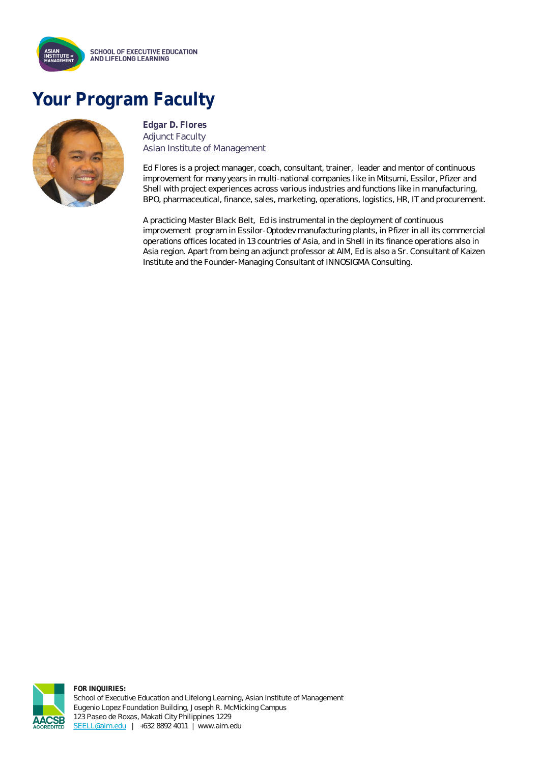

## **Your Program Faculty**



**Edgar D. Flores** Adjunct Faculty Asian Institute of Management

Ed Flores is a project manager, coach, consultant, trainer, leader and mentor of continuous improvement for many years in multi-national companies like in Mitsumi, Essilor, Pfizer and Shell with project experiences across various industries and functions like in manufacturing, BPO, pharmaceutical, finance, sales, marketing, operations, logistics, HR, IT and procurement.

A practicing Master Black Belt, Ed is instrumental in the deployment of continuous improvement program in Essilor-Optodev manufacturing plants, in Pfizer in all its commercial operations offices located in 13 countries of Asia, and in Shell in its finance operations also in Asia region. Apart from being an adjunct professor at AIM, Ed is also a Sr. Consultant of Kaizen Institute and the Founder-Managing Consultant of INNOSIGMA Consulting.



**FOR INQUIRIES:** School of Executive Education and Lifelong Learning, Asian Institute of Management Eugenio Lopez Foundation Building, Joseph R. McMicking Campus 123 Paseo de Roxas, Makati City Philippines 1229 [SEELL@aim.edu](mailto:SEELL@aim.edu) | +632 8892 4011 | www.aim.edu